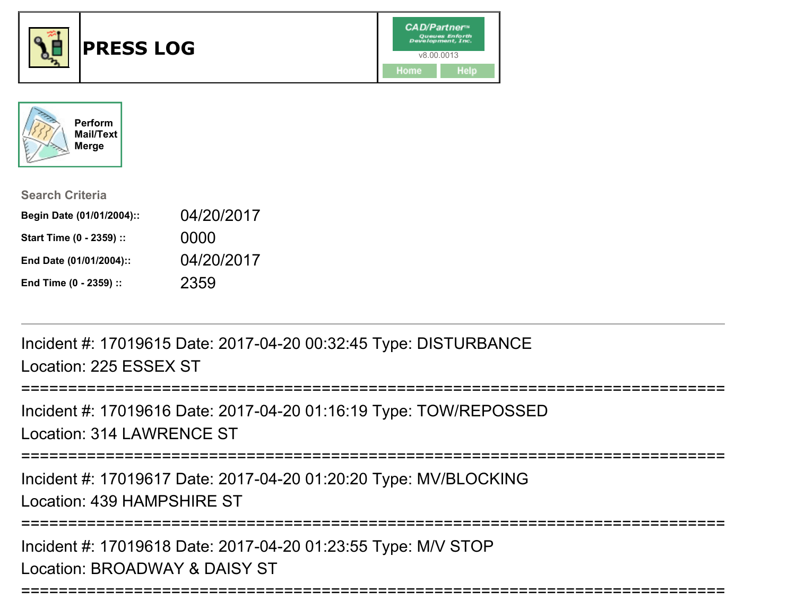



| <b>Search Criteria</b>    |            |
|---------------------------|------------|
| Begin Date (01/01/2004):: | 04/20/2017 |
| Start Time (0 - 2359) ::  | 0000       |
| End Date (01/01/2004)::   | 04/20/2017 |
| End Time (0 - 2359) ::    | 2359       |

Incident #: 17019615 Date: 2017-04-20 00:32:45 Type: DISTURBANCELocation: 225 ESSEX ST

=======================

Incident #: 17019616 Date: 2017-04-20 01:16:19 Type: TOW/REPOSSEDLocation: 314 LAWRENCE ST

===========================================================================

Incident #: 17019617 Date: 2017-04-20 01:20:20 Type: MV/BLOCKINGLocation: 439 HAMPSHIRE ST

===========================================================================

===========================================================================

Incident #: 17019618 Date: 2017-04-20 01:23:55 Type: M/V STOPLocation: BROADWAY & DAISY ST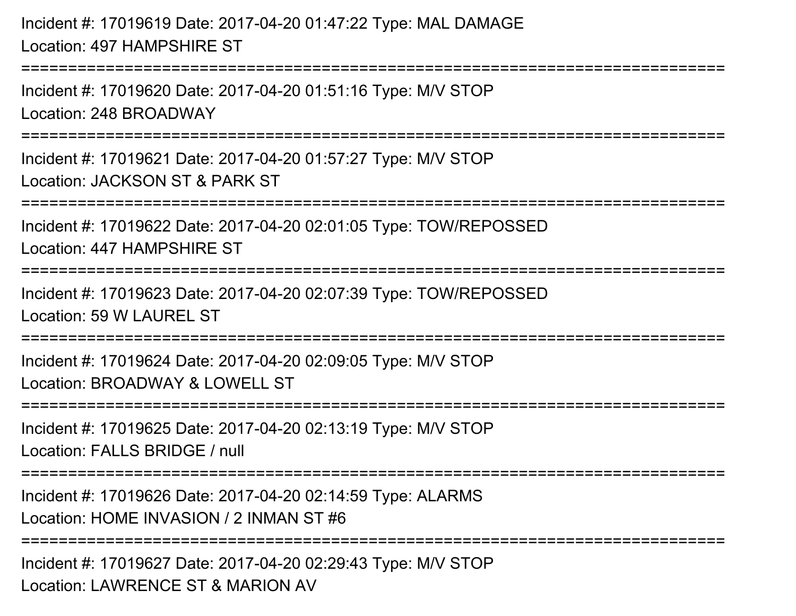Incident #: 17019619 Date: 2017-04-20 01:47:22 Type: MAL DAMAGELocation: 497 HAMPSHIRE ST============================= Incident #: 17019620 Date: 2017-04-20 01:51:16 Type: M/V STOPLocation: 248 BROADWAY===========================================================================Incident #: 17019621 Date: 2017-04-20 01:57:27 Type: M/V STOPLocation: JACKSON ST & PARK ST===========================================================================Incident #: 17019622 Date: 2017-04-20 02:01:05 Type: TOW/REPOSSEDLocation: 447 HAMPSHIRE ST===========================================================================Incident #: 17019623 Date: 2017-04-20 02:07:39 Type: TOW/REPOSSEDLocation: 59 W LAUREL ST===========================================================================Incident #: 17019624 Date: 2017-04-20 02:09:05 Type: M/V STOPLocation: BROADWAY & LOWELL ST ===========================================================================Incident #: 17019625 Date: 2017-04-20 02:13:19 Type: M/V STOPLocation: FALLS BRIDGE / null===========================================================================Incident #: 17019626 Date: 2017-04-20 02:14:59 Type: ALARMSLocation: HOME INVASION / 2 INMAN ST #6**==================** 

Incident #: 17019627 Date: 2017-04-20 02:29:43 Type: M/V STOPLocation: LAWRENCE ST & MARION AV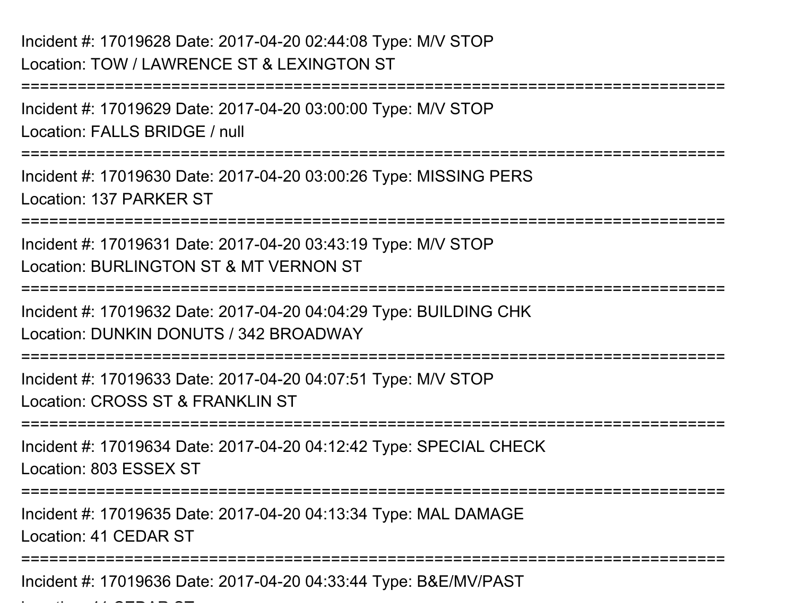## Incident #: 17019628 Date: 2017-04-20 02:44:08 Type: M/V STOPLocation: TOW / LAWRENCE ST & LEXINGTON ST

Location: 41 CEDAR ST

===========================================================================Incident #: 17019629 Date: 2017-04-20 03:00:00 Type: M/V STOPLocation: FALLS BRIDGE / null===========================================================================Incident #: 17019630 Date: 2017-04-20 03:00:26 Type: MISSING PERSLocation: 137 PARKER ST============================= Incident #: 17019631 Date: 2017-04-20 03:43:19 Type: M/V STOPLocation: BURLINGTON ST & MT VERNON ST===========================================================================Incident #: 17019632 Date: 2017-04-20 04:04:29 Type: BUILDING CHKLocation: DUNKIN DONUTS / 342 BROADWAY ===========================================================================Incident #: 17019633 Date: 2017-04-20 04:07:51 Type: M/V STOPLocation: CROSS ST & FRANKLIN ST===========================================================================Incident #: 17019634 Date: 2017-04-20 04:12:42 Type: SPECIAL CHECKLocation: 803 ESSEX ST===========================================================================Incident #: 17019635 Date: 2017-04-20 04:13:34 Type: MAL DAMAGELocation: 41 CEDAR ST===========================================================================Incident #: 17019636 Date: 2017-04-20 04:33:44 Type: B&E/MV/PAST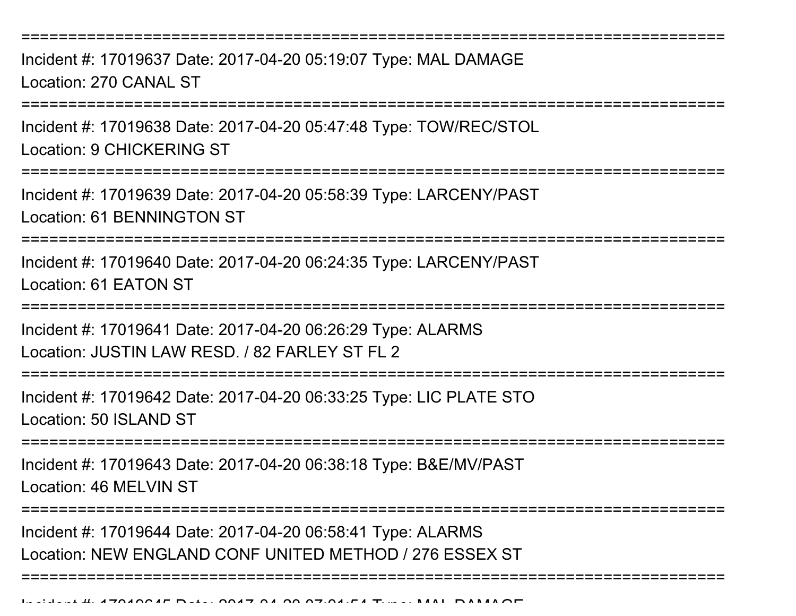===========================================================================

Incident #: 17019637 Date: 2017-04-20 05:19:07 Type: MAL DAMAGELocation: 270 CANAL ST

===========================================================================

Incident #: 17019638 Date: 2017-04-20 05:47:48 Type: TOW/REC/STOLLocation: 9 CHICKERING ST

===========================================================================

Incident #: 17019639 Date: 2017-04-20 05:58:39 Type: LARCENY/PASTLocation: 61 BENNINGTON ST

===========================================================================

Incident #: 17019640 Date: 2017-04-20 06:24:35 Type: LARCENY/PASTLocation: 61 EATON ST

===========================================================================

Incident #: 17019641 Date: 2017-04-20 06:26:29 Type: ALARMSLocation: JUSTIN LAW RESD. / 82 FARLEY ST FL 2

===========================================================================

Incident #: 17019642 Date: 2017-04-20 06:33:25 Type: LIC PLATE STOLocation: 50 ISLAND ST

===========================================================================

Incident #: 17019643 Date: 2017-04-20 06:38:18 Type: B&E/MV/PASTLocation: 46 MELVIN ST

===========================================================================

===========================================================================

Incident #: 17019644 Date: 2017-04-20 06:58:41 Type: ALARMSLocation: NEW ENGLAND CONF UNITED METHOD / 276 ESSEX ST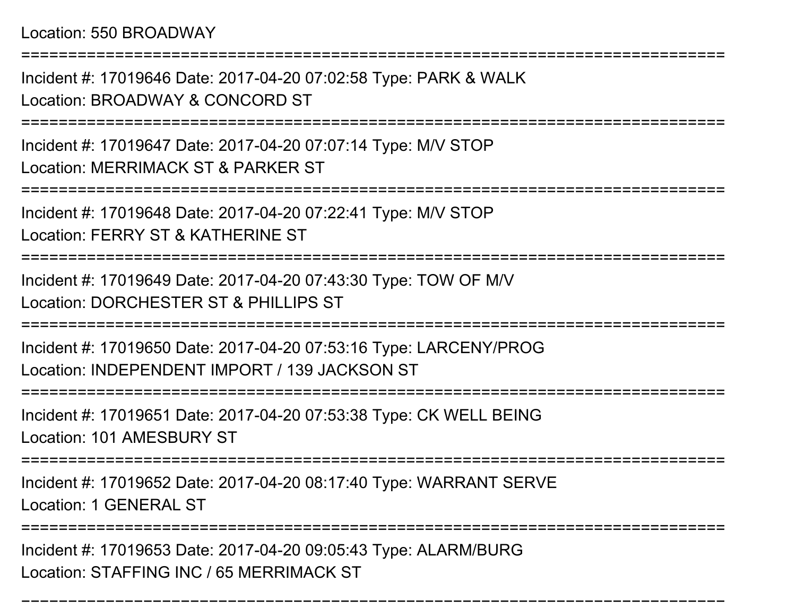Location: 550 BROADWAY

Incident #: 17019646 Date: 2017-04-20 07:02:58 Type: PARK & WALKLocation: BROADWAY & CONCORD ST

===========================================================================

===========================================================================

Incident #: 17019647 Date: 2017-04-20 07:07:14 Type: M/V STOPLocation: MERRIMACK ST & PARKER ST

===========================================================================

Incident #: 17019648 Date: 2017-04-20 07:22:41 Type: M/V STOP

Location: FERRY ST & KATHERINE ST

===========================================================================

Incident #: 17019649 Date: 2017-04-20 07:43:30 Type: TOW OF M/VLocation: DORCHESTER ST & PHILLIPS ST

===========================================================================

Incident #: 17019650 Date: 2017-04-20 07:53:16 Type: LARCENY/PROGLocation: INDEPENDENT IMPORT / 139 JACKSON ST

=====================

Incident #: 17019651 Date: 2017-04-20 07:53:38 Type: CK WELL BEINGLocation: 101 AMESBURY ST

===========================================================================

Incident #: 17019652 Date: 2017-04-20 08:17:40 Type: WARRANT SERVE

Location: 1 GENERAL ST

====================

===========================================================================

Incident #: 17019653 Date: 2017-04-20 09:05:43 Type: ALARM/BURGLocation: STAFFING INC / 65 MERRIMACK ST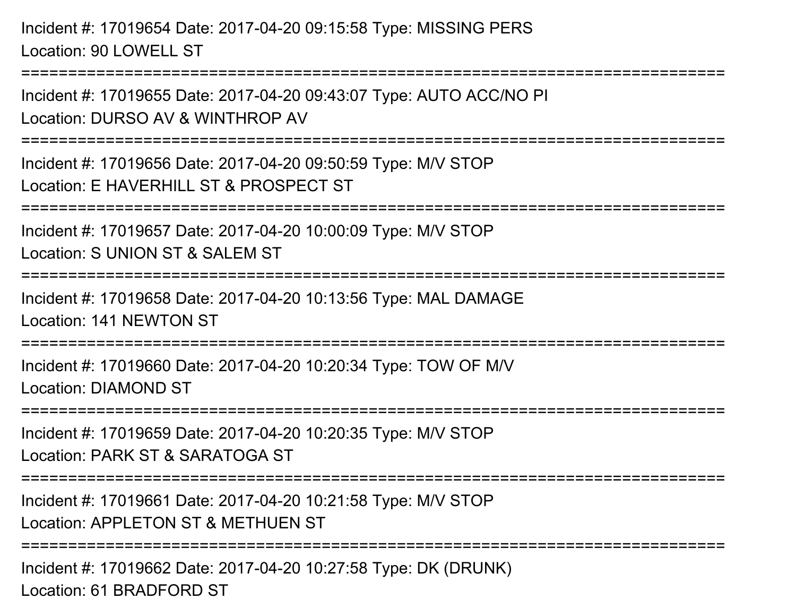Incident #: 17019654 Date: 2017-04-20 09:15:58 Type: MISSING PERSLocation: 90 LOWELL ST===========================================================================Incident #: 17019655 Date: 2017-04-20 09:43:07 Type: AUTO ACC/NO PILocation: DURSO AV & WINTHROP AV===========================================================================

Incident #: 17019656 Date: 2017-04-20 09:50:59 Type: M/V STOPLocation: E HAVERHILL ST & PROSPECT ST

===========================================================================

Incident #: 17019657 Date: 2017-04-20 10:00:09 Type: M/V STOP

Location: S UNION ST & SALEM ST

===========================================================================

Incident #: 17019658 Date: 2017-04-20 10:13:56 Type: MAL DAMAGELocation: 141 NEWTON ST

===========================================================================

Incident #: 17019660 Date: 2017-04-20 10:20:34 Type: TOW OF M/VLocation: DIAMOND ST

===========================================================================

Incident #: 17019659 Date: 2017-04-20 10:20:35 Type: M/V STOP

Location: PARK ST & SARATOGA ST

===========================================================================

Incident #: 17019661 Date: 2017-04-20 10:21:58 Type: M/V STOP

Location: APPLETON ST & METHUEN ST

===========================================================================

Incident #: 17019662 Date: 2017-04-20 10:27:58 Type: DK (DRUNK)Location: 61 BRADFORD ST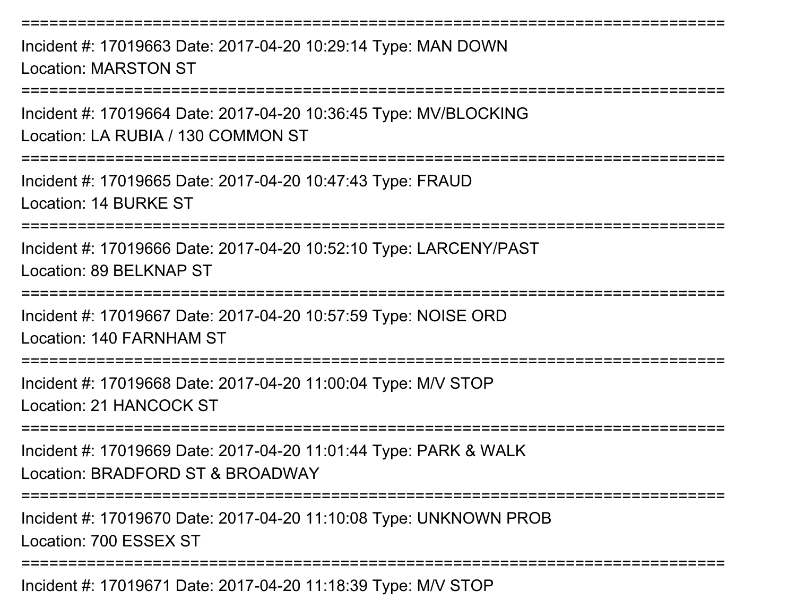Incident #: 17019663 Date: 2017-04-20 10:29:14 Type: MAN DOWNLocation: MARSTON ST

===========================================================================

===========================================================================

Incident #: 17019664 Date: 2017-04-20 10:36:45 Type: MV/BLOCKINGLocation: LA RUBIA / 130 COMMON ST

===========================================================================

Incident #: 17019665 Date: 2017-04-20 10:47:43 Type: FRAUDLocation: 14 BURKE ST

===========================================================================

Incident #: 17019666 Date: 2017-04-20 10:52:10 Type: LARCENY/PASTLocation: 89 BELKNAP ST

===========================================================================

Incident #: 17019667 Date: 2017-04-20 10:57:59 Type: NOISE ORDLocation: 140 FARNHAM ST

===========================================================================

Incident #: 17019668 Date: 2017-04-20 11:00:04 Type: M/V STOPLocation: 21 HANCOCK ST

===========================================================================

Incident #: 17019669 Date: 2017-04-20 11:01:44 Type: PARK & WALKLocation: BRADFORD ST & BROADWAY

====================

Incident #: 17019670 Date: 2017-04-20 11:10:08 Type: UNKNOWN PROBLocation: 700 ESSEX ST

===========================================================================

Incident #: 17019671 Date: 2017-04-20 11:18:39 Type: M/V STOP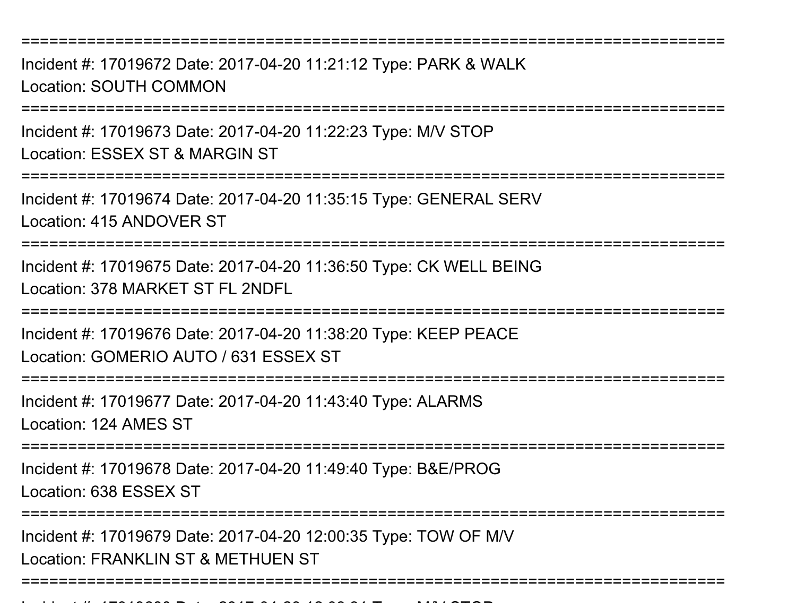===========================================================================

Incident #: 17019672 Date: 2017-04-20 11:21:12 Type: PARK & WALKLocation: SOUTH COMMON

===========================================================================

Incident #: 17019673 Date: 2017-04-20 11:22:23 Type: M/V STOPLocation: ESSEX ST & MARGIN ST

===========================================================================

Incident #: 17019674 Date: 2017-04-20 11:35:15 Type: GENERAL SERVLocation: 415 ANDOVER ST

===========================================================================

Incident #: 17019675 Date: 2017-04-20 11:36:50 Type: CK WELL BEINGLocation: 378 MARKET ST FL 2NDFL

===========================================================================

Incident #: 17019676 Date: 2017-04-20 11:38:20 Type: KEEP PEACELocation: GOMERIO AUTO / 631 ESSEX ST

===========================================================================

Incident #: 17019677 Date: 2017-04-20 11:43:40 Type: ALARMS

Location: 124 AMES ST

===========================================================================

Incident #: 17019678 Date: 2017-04-20 11:49:40 Type: B&E/PROG

Location: 638 ESSEX ST

Incident #: 17019680 Date: 2017

=======================

Incident #: 17019679 Date: 2017-04-20 12:00:35 Type: TOW OF M/VLocation: FRANKLIN ST & METHUEN ST

===========================================================================

<sup>04</sup> 20 12:08:31 Type: M/V STOP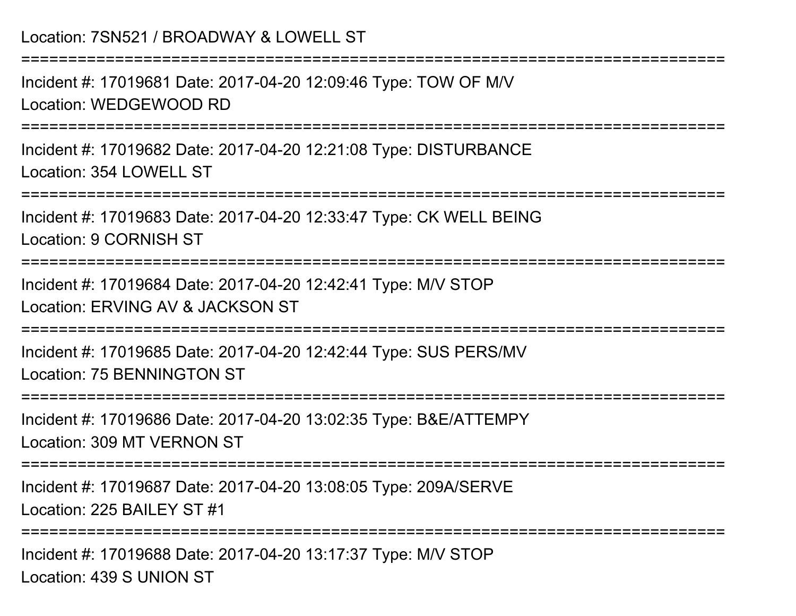Location: 7SN521 / BROADWAY & LOWELL ST===========================================================================Incident #: 17019681 Date: 2017-04-20 12:09:46 Type: TOW OF M/VLocation: WEDGEWOOD RD ===========================================================================Incident #: 17019682 Date: 2017-04-20 12:21:08 Type: DISTURBANCELocation: 354 LOWELL ST===========================================================================Incident #: 17019683 Date: 2017-04-20 12:33:47 Type: CK WELL BEINGLocation: 9 CORNISH ST===========================================================================Incident #: 17019684 Date: 2017-04-20 12:42:41 Type: M/V STOPLocation: ERVING AV & JACKSON ST===========================================================================Incident #: 17019685 Date: 2017-04-20 12:42:44 Type: SUS PERS/MVLocation: 75 BENNINGTON ST===========================================================================Incident #: 17019686 Date: 2017-04-20 13:02:35 Type: B&E/ATTEMPYLocation: 309 MT VERNON ST===========================================================================Incident #: 17019687 Date: 2017-04-20 13:08:05 Type: 209A/SERVELocation: 225 BAILEY ST #1

===========================================================================

Incident #: 17019688 Date: 2017-04-20 13:17:37 Type: M/V STOPLocation: 439 S UNION ST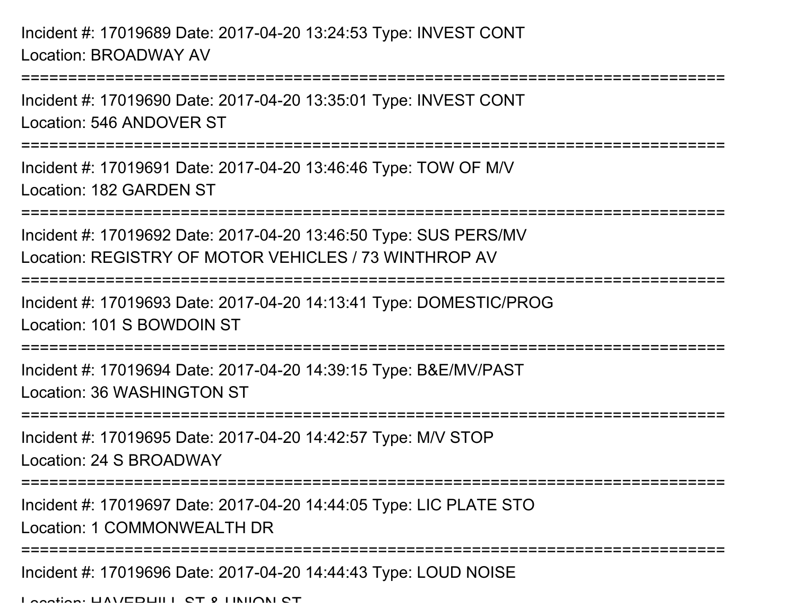Incident #: 17019689 Date: 2017-04-20 13:24:53 Type: INVEST CONTLocation: BROADWAY AV

Incident #: 17019690 Date: 2017-04-20 13:35:01 Type: INVEST CONTLocation: 546 ANDOVER ST

===========================================================================

===========================================================================

Incident #: 17019691 Date: 2017-04-20 13:46:46 Type: TOW OF M/VLocation: 182 GARDEN ST

===========================================================================

Incident #: 17019692 Date: 2017-04-20 13:46:50 Type: SUS PERS/MVLocation: REGISTRY OF MOTOR VEHICLES / 73 WINTHROP AV

===========================================================================

Incident #: 17019693 Date: 2017-04-20 14:13:41 Type: DOMESTIC/PROGLocation: 101 S BOWDOIN ST

===========================================================================

Incident #: 17019694 Date: 2017-04-20 14:39:15 Type: B&E/MV/PASTLocation: 36 WASHINGTON ST

===========================================================================

Incident #: 17019695 Date: 2017-04-20 14:42:57 Type: M/V STOPLocation: 24 S BROADWAY

**=============** 

Incident #: 17019697 Date: 2017-04-20 14:44:05 Type: LIC PLATE STO

Location: 1 COMMONWEALTH DR

===========================================================================

Incident #: 17019696 Date: 2017-04-20 14:44:43 Type: LOUD NOISE

Location: HAVERHILL ST & UNION ST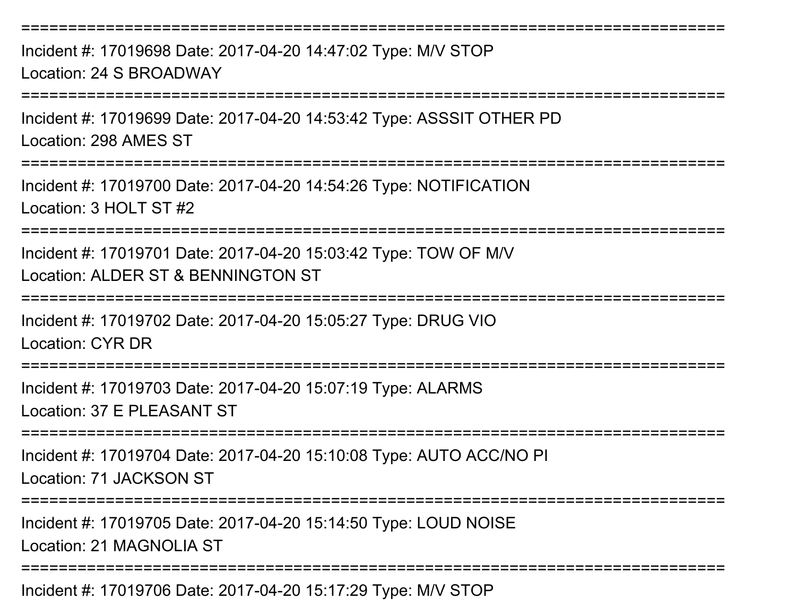===========================================================================Incident #: 17019698 Date: 2017-04-20 14:47:02 Type: M/V STOPLocation: 24 S BROADWAY ===========================================================================Incident #: 17019699 Date: 2017-04-20 14:53:42 Type: ASSSIT OTHER PDLocation: 298 AMES ST===========================================================================Incident #: 17019700 Date: 2017-04-20 14:54:26 Type: NOTIFICATIONLocation: 3 HOLT ST #2===========================================================================Incident #: 17019701 Date: 2017-04-20 15:03:42 Type: TOW OF M/VLocation: ALDER ST & BENNINGTON ST===========================================================================Incident #: 17019702 Date: 2017-04-20 15:05:27 Type: DRUG VIOLocation: CYR DR=================== Incident #: 17019703 Date: 2017-04-20 15:07:19 Type: ALARMSLocation: 37 E PLEASANT ST===========================================================================Incident #: 17019704 Date: 2017-04-20 15:10:08 Type: AUTO ACC/NO PILocation: 71 JACKSON ST===========================================================================Incident #: 17019705 Date: 2017-04-20 15:14:50 Type: LOUD NOISELocation: 21 MAGNOLIA ST

Incident #: 17019706 Date: 2017-04-20 15:17:29 Type: M/V STOP

===========================================================================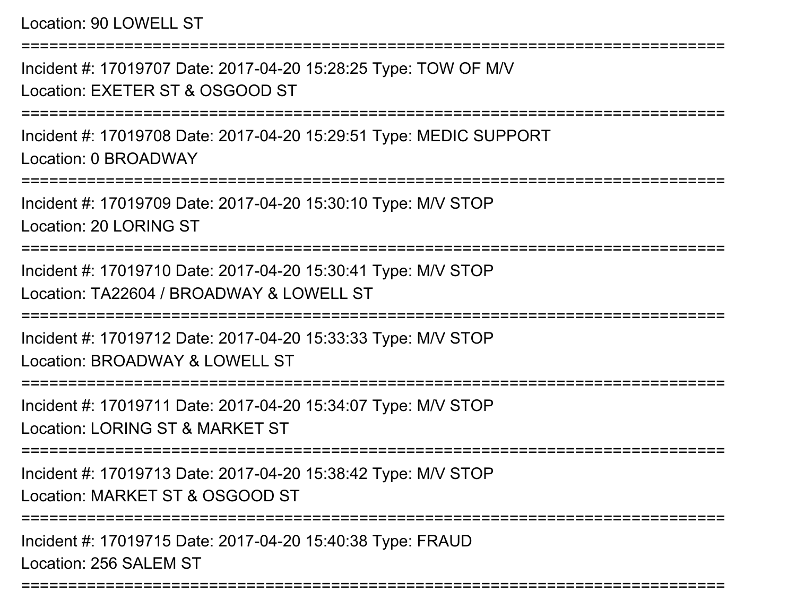Location: 90 LOWELL ST===========================================================================Incident #: 17019707 Date: 2017-04-20 15:28:25 Type: TOW OF M/VLocation: EXETER ST & OSGOOD ST===========================================================================Incident #: 17019708 Date: 2017-04-20 15:29:51 Type: MEDIC SUPPORTLocation: 0 BROADWAY===========================================================================Incident #: 17019709 Date: 2017-04-20 15:30:10 Type: M/V STOPLocation: 20 LORING ST===========================================================================Incident #: 17019710 Date: 2017-04-20 15:30:41 Type: M/V STOPLocation: TA22604 / BROADWAY & LOWELL ST==================== Incident #: 17019712 Date: 2017-04-20 15:33:33 Type: M/V STOPLocation: BROADWAY & LOWELL ST===========================================================================Incident #: 17019711 Date: 2017-04-20 15:34:07 Type: M/V STOPLocation: LORING ST & MARKET ST===========================================================================Incident #: 17019713 Date: 2017-04-20 15:38:42 Type: M/V STOPLocation: MARKET ST & OSGOOD ST===========================================================================Incident #: 17019715 Date: 2017-04-20 15:40:38 Type: FRAUDLocation: 256 SALEM ST

===========================================================================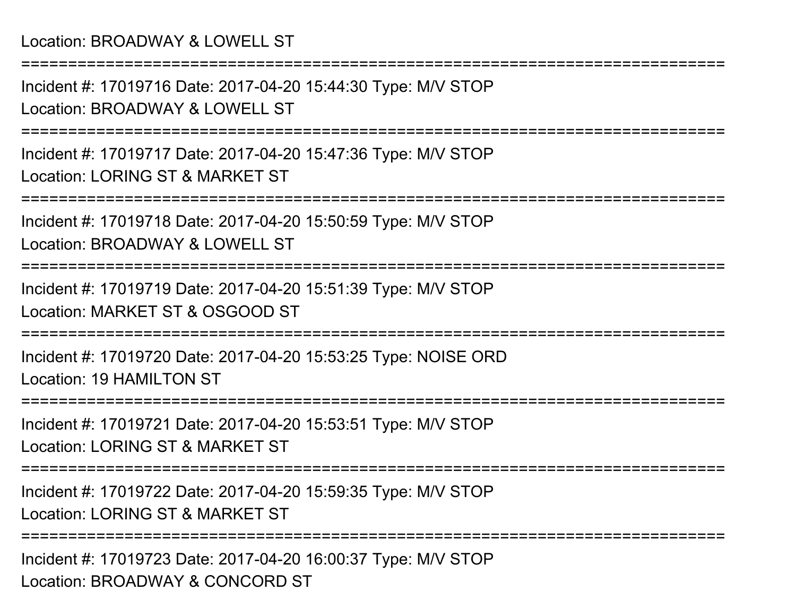Incident #: 17019716 Date: 2017-04-20 15:44:30 Type: M/V STOPLocation: BROADWAY & LOWELL ST

===========================================================================

===========================================================================

Incident #: 17019717 Date: 2017-04-20 15:47:36 Type: M/V STOPLocation: LORING ST & MARKET ST

===========================================================================

Incident #: 17019718 Date: 2017-04-20 15:50:59 Type: M/V STOPLocation: BROADWAY & LOWELL ST

===========================================================================

Incident #: 17019719 Date: 2017-04-20 15:51:39 Type: M/V STOPLocation: MARKET ST & OSGOOD ST

===========================================================================

Incident #: 17019720 Date: 2017-04-20 15:53:25 Type: NOISE ORDLocation: 19 HAMILTON ST

==============================

Incident #: 17019721 Date: 2017-04-20 15:53:51 Type: M/V STOPLocation: LORING ST & MARKET ST

===========================================================================

Incident #: 17019722 Date: 2017-04-20 15:59:35 Type: M/V STOPLocation: LORING ST & MARKET ST

===========================================================================

Incident #: 17019723 Date: 2017-04-20 16:00:37 Type: M/V STOPLocation: BROADWAY & CONCORD ST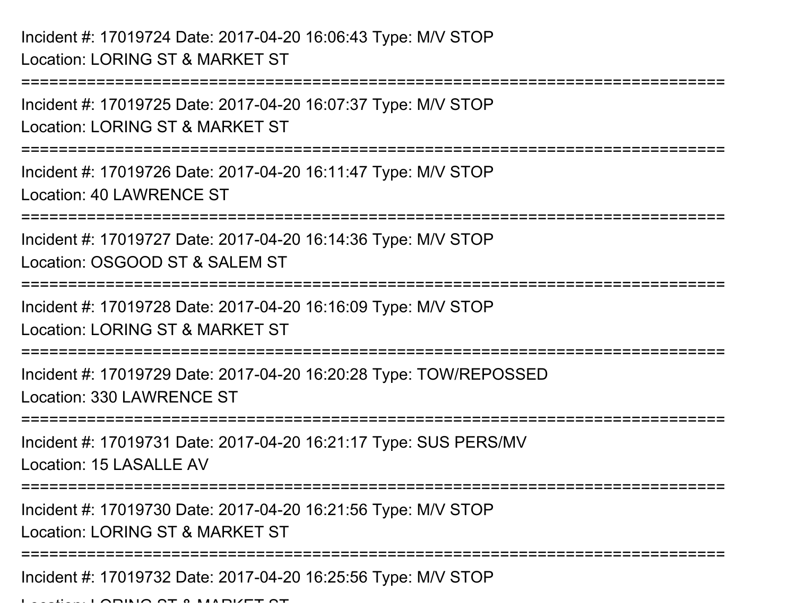Incident #: 17019724 Date: 2017-04-20 16:06:43 Type: M/V STOPLocation: LORING ST & MARKET ST

===========================================================================Incident #: 17019725 Date: 2017-04-20 16:07:37 Type: M/V STOPLocation: LORING ST & MARKET ST===========================================================================Incident #: 17019726 Date: 2017-04-20 16:11:47 Type: M/V STOPLocation: 40 LAWRENCE ST===========================================================================Incident #: 17019727 Date: 2017-04-20 16:14:36 Type: M/V STOPLocation: OSGOOD ST & SALEM ST===========================================================================Incident #: 17019728 Date: 2017-04-20 16:16:09 Type: M/V STOPLocation: LORING ST & MARKET ST===========================================================================Incident #: 17019729 Date: 2017-04-20 16:20:28 Type: TOW/REPOSSEDLocation: 330 LAWRENCE ST===========================================================================Incident #: 17019731 Date: 2017-04-20 16:21:17 Type: SUS PERS/MVLocation: 15 LASALLE AV ===========================================================================Incident #: 17019730 Date: 2017-04-20 16:21:56 Type: M/V STOPLocation: LORING ST & MARKET ST===========================================================================Incident #: 17019732 Date: 2017-04-20 16:25:56 Type: M/V STOP

Location: LORING ST & MARKET ST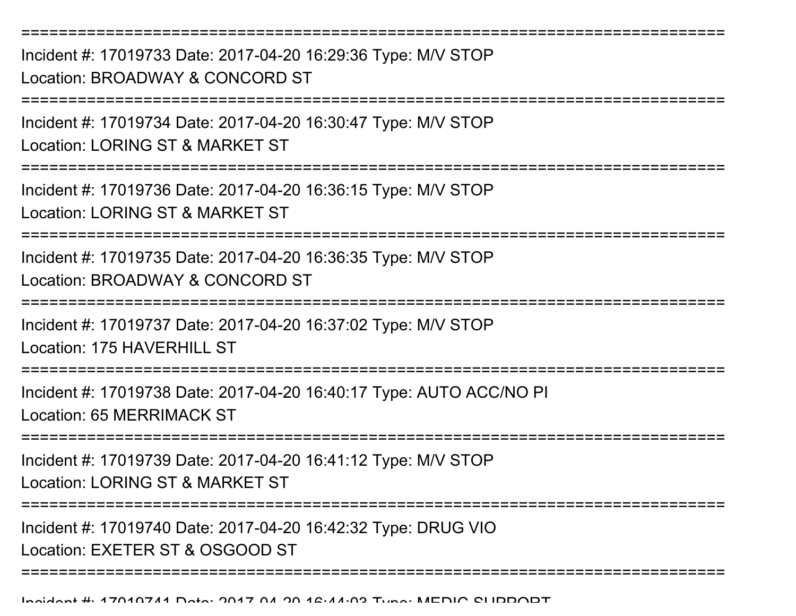===========================================================================Incident #: 17019733 Date: 2017-04-20 16:29:36 Type: M/V STOPLocation: BROADWAY & CONCORD ST===========================================================================Incident #: 17019734 Date: 2017-04-20 16:30:47 Type: M/V STOPLocation: LORING ST & MARKET ST===========================================================================Incident #: 17019736 Date: 2017-04-20 16:36:15 Type: M/V STOPLocation: LORING ST & MARKET ST===========================================================================Incident #: 17019735 Date: 2017-04-20 16:36:35 Type: M/V STOPLocation: BROADWAY & CONCORD ST===========================================================================Incident #: 17019737 Date: 2017-04-20 16:37:02 Type: M/V STOPLocation: 175 HAVERHILL ST ===========================================================================Incident #: 17019738 Date: 2017-04-20 16:40:17 Type: AUTO ACC/NO PILocation: 65 MERRIMACK ST===========================================================================Incident #: 17019739 Date: 2017-04-20 16:41:12 Type: M/V STOPLocation: LORING ST & MARKET ST===========================================================================Incident #: 17019740 Date: 2017-04-20 16:42:32 Type: DRUG VIOLocation: EXETER ST & OSGOOD ST===========================================================================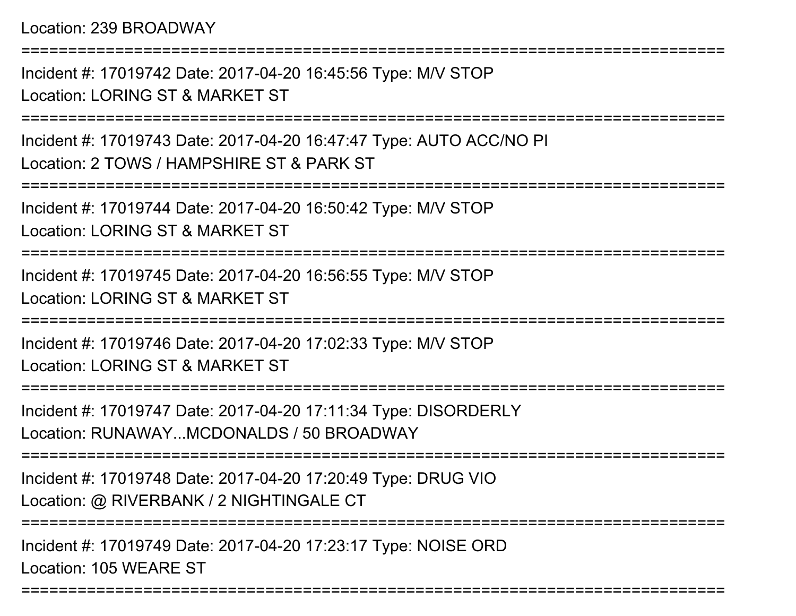Location: 239 BROADWAY

Incident #: 17019742 Date: 2017-04-20 16:45:56 Type: M/V STOPLocation: LORING ST & MARKET ST

===========================================================================

===========================================================================

Incident #: 17019743 Date: 2017-04-20 16:47:47 Type: AUTO ACC/NO PILocation: 2 TOWS / HAMPSHIRE ST & PARK ST

===========================================================================

Incident #: 17019744 Date: 2017-04-20 16:50:42 Type: M/V STOPLocation: LORING ST & MARKET ST

===========================================================================

Incident #: 17019745 Date: 2017-04-20 16:56:55 Type: M/V STOP

Location: LORING ST & MARKET ST

===========================================================================

Incident #: 17019746 Date: 2017-04-20 17:02:33 Type: M/V STOPLocation: LORING ST & MARKET ST

===========================================================================

Incident #: 17019747 Date: 2017-04-20 17:11:34 Type: DISORDERLYLocation: RUNAWAY...MCDONALDS / 50 BROADWAY

===========================================================================

Incident #: 17019748 Date: 2017-04-20 17:20:49 Type: DRUG VIOLocation: @ RIVERBANK / 2 NIGHTINGALE CT

===========================================================================

===========================================================================

Incident #: 17019749 Date: 2017-04-20 17:23:17 Type: NOISE ORDLocation: 105 WEARE ST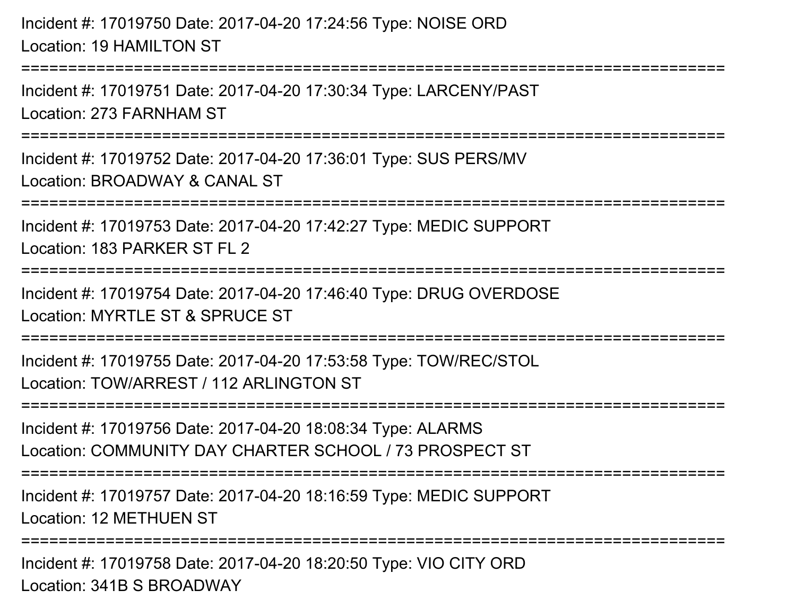Incident #: 17019750 Date: 2017-04-20 17:24:56 Type: NOISE ORDLocation: 19 HAMILTON ST

===========================================================================

Incident #: 17019751 Date: 2017-04-20 17:30:34 Type: LARCENY/PASTLocation: 273 FARNHAM ST

===========================================================================

Incident #: 17019752 Date: 2017-04-20 17:36:01 Type: SUS PERS/MVLocation: BROADWAY & CANAL ST

===========================================================================

Incident #: 17019753 Date: 2017-04-20 17:42:27 Type: MEDIC SUPPORT

Location: 183 PARKER ST FL 2

===========================================================================

Incident #: 17019754 Date: 2017-04-20 17:46:40 Type: DRUG OVERDOSELocation: MYRTLE ST & SPRUCE ST

===========================================================================

Incident #: 17019755 Date: 2017-04-20 17:53:58 Type: TOW/REC/STOLLocation: TOW/ARREST / 112 ARLINGTON ST

===========================================================================

Incident #: 17019756 Date: 2017-04-20 18:08:34 Type: ALARMSLocation: COMMUNITY DAY CHARTER SCHOOL / 73 PROSPECT ST

===========================================================================

Incident #: 17019757 Date: 2017-04-20 18:16:59 Type: MEDIC SUPPORTLocation: 12 METHUEN ST

===========================================================================

Incident #: 17019758 Date: 2017-04-20 18:20:50 Type: VIO CITY ORDLocation: 341B S BROADWAY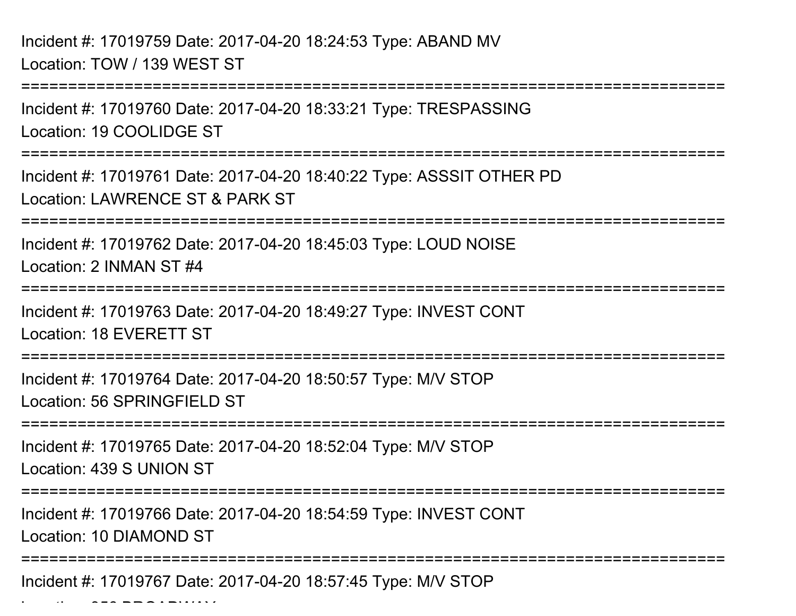Incident #: 17019759 Date: 2017-04-20 18:24:53 Type: ABAND MVLocation: TOW / 139 WEST ST

 $\mathcal{L}$  and 356 BROADWAY BROAdway

===========================================================================Incident #: 17019760 Date: 2017-04-20 18:33:21 Type: TRESPASSINGLocation: 19 COOLIDGE ST===========================================================================Incident #: 17019761 Date: 2017-04-20 18:40:22 Type: ASSSIT OTHER PDLocation: LAWRENCE ST & PARK ST=============== Incident #: 17019762 Date: 2017-04-20 18:45:03 Type: LOUD NOISELocation: 2 INMAN ST #4===========================================================================Incident #: 17019763 Date: 2017-04-20 18:49:27 Type: INVEST CONTLocation: 18 EVERETT ST===========================================================================Incident #: 17019764 Date: 2017-04-20 18:50:57 Type: M/V STOPLocation: 56 SPRINGFIELD ST===========================================================================Incident #: 17019765 Date: 2017-04-20 18:52:04 Type: M/V STOPLocation: 439 S UNION ST===========================================================================Incident #: 17019766 Date: 2017-04-20 18:54:59 Type: INVEST CONTLocation: 10 DIAMOND ST===========================================================================Incident #: 17019767 Date: 2017-04-20 18:57:45 Type: M/V STOP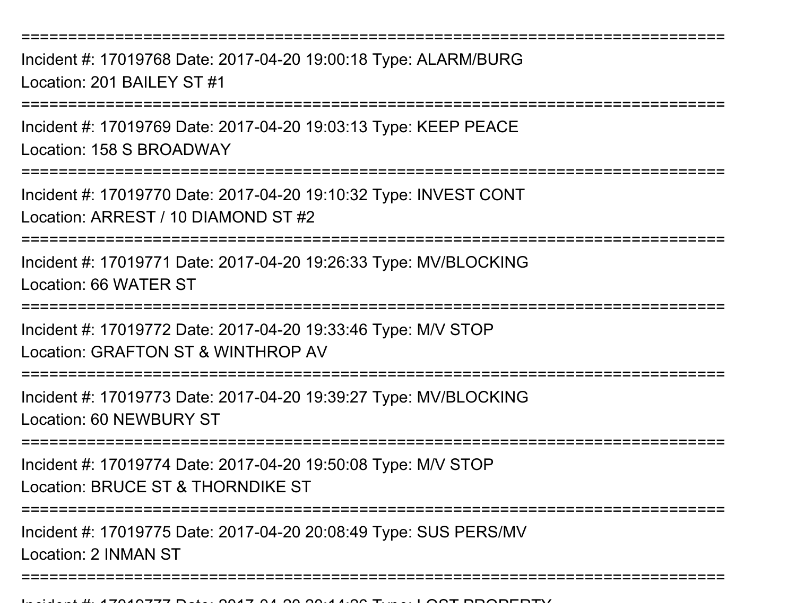===========================================================================

Incident #: 17019768 Date: 2017-04-20 19:00:18 Type: ALARM/BURGLocation: 201 BAILEY ST #1

===========================================================================

Incident #: 17019769 Date: 2017-04-20 19:03:13 Type: KEEP PEACELocation: 158 S BROADWAY

**===============** 

Incident #: 17019770 Date: 2017-04-20 19:10:32 Type: INVEST CONTLocation: ARREST / 10 DIAMOND ST #2

===========================================================================

Incident #: 17019771 Date: 2017-04-20 19:26:33 Type: MV/BLOCKINGLocation: 66 WATER ST

===========================================================================

Incident #: 17019772 Date: 2017-04-20 19:33:46 Type: M/V STOP

Location: GRAFTON ST & WINTHROP AV

===========================================================================

Incident #: 17019773 Date: 2017-04-20 19:39:27 Type: MV/BLOCKINGLocation: 60 NEWBURY ST

===========================================================================

Incident #: 17019774 Date: 2017-04-20 19:50:08 Type: M/V STOPLocation: BRUCE ST & THORNDIKE ST

===========================================================================

Incident #: 17019775 Date: 2017-04-20 20:08:49 Type: SUS PERS/MV

Location: 2 INMAN ST

===========================================================================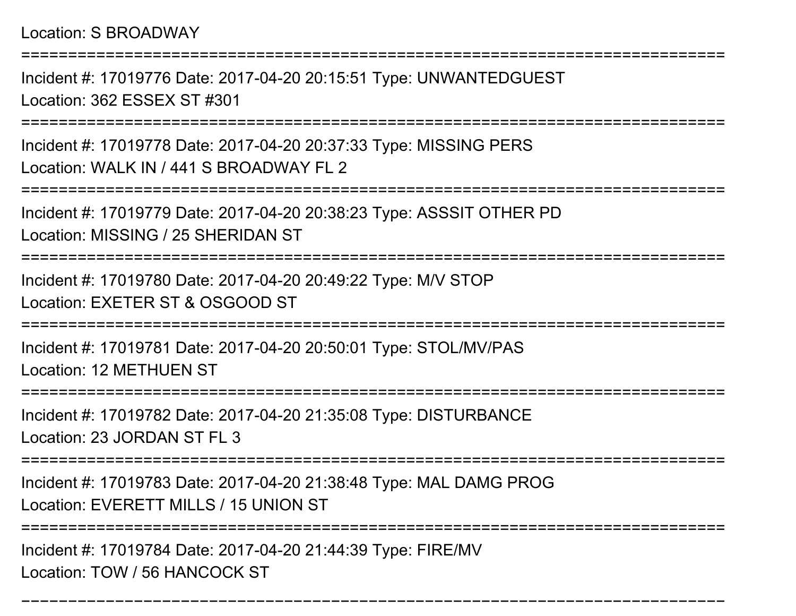===========================================================================

Incident #: 17019776 Date: 2017-04-20 20:15:51 Type: UNWANTEDGUESTLocation: 362 ESSEX ST #301

===========================================================================

Incident #: 17019778 Date: 2017-04-20 20:37:33 Type: MISSING PERSLocation: WALK IN / 441 S BROADWAY FL 2

===========================================================================

Incident #: 17019779 Date: 2017-04-20 20:38:23 Type: ASSSIT OTHER PD

Location: MISSING / 25 SHERIDAN ST

===========================================================================

Incident #: 17019780 Date: 2017-04-20 20:49:22 Type: M/V STOPLocation: EXETER ST & OSGOOD ST

===========================================================================

Incident #: 17019781 Date: 2017-04-20 20:50:01 Type: STOL/MV/PASLocation: 12 METHUEN ST

=====================

Incident #: 17019782 Date: 2017-04-20 21:35:08 Type: DISTURBANCELocation: 23 JORDAN ST FL 3

===========================================================================

Incident #: 17019783 Date: 2017-04-20 21:38:48 Type: MAL DAMG PROG

Location: EVERETT MILLS / 15 UNION ST

===========================================================================

===========================================================================

Incident #: 17019784 Date: 2017-04-20 21:44:39 Type: FIRE/MVLocation: TOW / 56 HANCOCK ST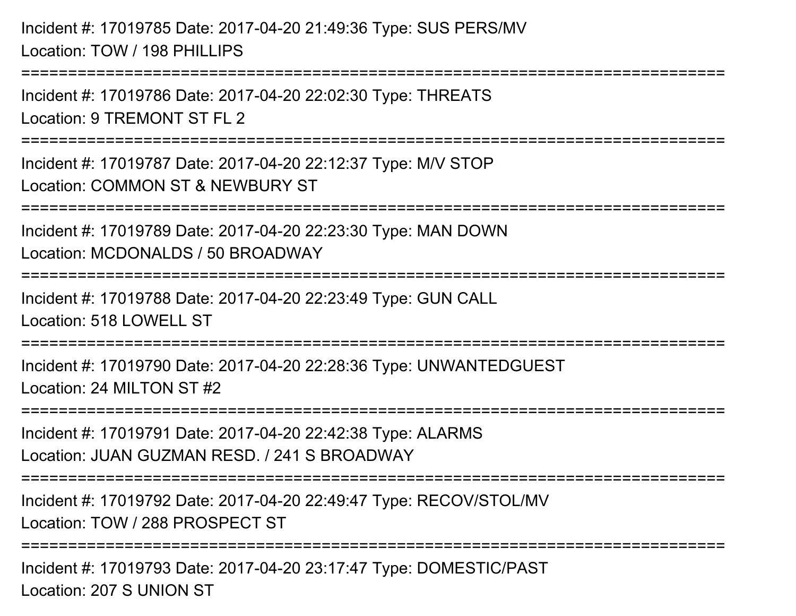Incident #: 17019785 Date: 2017-04-20 21:49:36 Type: SUS PERS/MVLocation: TOW / 198 PHILLIPS===========================================================================Incident #: 17019786 Date: 2017-04-20 22:02:30 Type: THREATSLocation: 9 TREMONT ST FL 2 ===========================================================================Incident #: 17019787 Date: 2017-04-20 22:12:37 Type: M/V STOPLocation: COMMON ST & NEWBURY ST===========================================================================Incident #: 17019789 Date: 2017-04-20 22:23:30 Type: MAN DOWNLocation: MCDONALDS / 50 BROADWAY===========================================================================Incident #: 17019788 Date: 2017-04-20 22:23:49 Type: GUN CALLLocation: 518 LOWELL ST=========================== Incident #: 17019790 Date: 2017-04-20 22:28:36 Type: UNWANTEDGUESTLocation: 24 MILTON ST #2===========================================================================Incident #: 17019791 Date: 2017-04-20 22:42:38 Type: ALARMSLocation: JUAN GUZMAN RESD. / 241 S BROADWAY===========================================================================Incident #: 17019792 Date: 2017-04-20 22:49:47 Type: RECOV/STOL/MVLocation: TOW / 288 PROSPECT ST===========================================================================Incident #: 17019793 Date: 2017-04-20 23:17:47 Type: DOMESTIC/PASTLocation: 207 S UNION ST